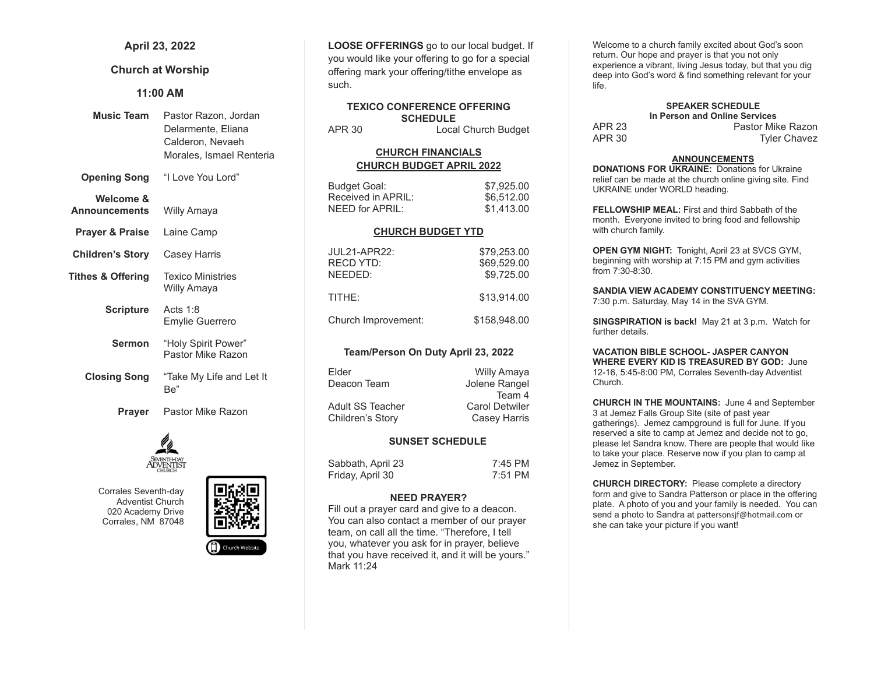# April 23, 2022

# Church at Worship

## 11:00 AM

| <b>Music Team</b>                 | Pastor Razon, Jordan<br>Delarmente, Eliana<br>Calderon, Nevaeh<br>Morales, Ismael Renteria |
|-----------------------------------|--------------------------------------------------------------------------------------------|
| <b>Opening Song</b>               | "I Love You Lord"                                                                          |
| Welcome &<br><b>Announcements</b> | Willy Amaya                                                                                |
| <b>Prayer &amp; Praise</b>        | Laine Camp                                                                                 |
| <b>Children's Story</b>           | Casey Harris                                                                               |
| <b>Tithes &amp; Offering</b>      | <b>Texico Ministries</b><br>Willy Amaya                                                    |
| <b>Scripture</b>                  | Acts $1:8$<br>Emylie Guerrero                                                              |
| <b>Sermon</b>                     | "Holy Spirit Power"<br>Pastor Mike Razon                                                   |
| <b>Closing Song</b>               | "Take My Life and Let It<br>Be"                                                            |
| Prayer                            | Pastor Mike Razon                                                                          |



Corrales Seventh-day Adventist Church 020 Academy Drive Corrales, NM 87048



LOOSE OFFERINGS go to our local budget. If you would like your offering to go for a special offering mark your offering/tithe envelope as such.

#### TEXICO CONFERENCE OFFERING **SCHEDULE** APR 30 Local Church Budget

# CHURCH FINANCIALS CHURCH BUDGET APRIL 2022

| Budget Goal:       | \$7,925.00 |
|--------------------|------------|
| Received in APRIL: | \$6.512.00 |
| NEED for APRIL:    | \$1.413.00 |

#### CHURCH BUDGET YTD

| JUL21-APR22:<br><b>RECD YTD:</b><br>NEEDED: | \$79.253.00<br>\$69.529.00<br>\$9.725.00 |
|---------------------------------------------|------------------------------------------|
| TITHE:                                      | \$13.914.00                              |
| Church Improvement:                         | \$158.948.00                             |

## Team/Person On Duty April 23, 2022

| Willy Amaya           |
|-----------------------|
| Jolene Rangel         |
| Team 4                |
| <b>Carol Detwiler</b> |
| Casey Harris          |
|                       |

## SUNSET SCHEDULE

| Sabbath, April 23 | 7:45 PM |
|-------------------|---------|
| Friday, April 30  | 7:51 PM |

#### NEED PRAYER?

Fill out a prayer card and give to a deacon. You can also contact a member of our prayer team, on call all the time. "Therefore, I tell you, whatever you ask for in prayer, believe that you have received it, and it will be yours." Mark 11:24

Welcome to a church family excited about God's soon return. Our hope and prayer is that you not only experience a vibrant, living Jesus today, but that you dig deep into God's word & find something relevant for your life.

#### SPEAKER SCHEDULE In Person and Online Services

|        | <u>III F GISUII ANU UNINIC UCIVILCS</u> |
|--------|-----------------------------------------|
| APR 23 | Pastor Mike Razon                       |
| APR 30 | <b>Tyler Chavez</b>                     |

#### ANNOUNCEMENTS

DONATIONS FOR UKRAINE: Donations for Ukraine relief can be made at the church online giving site. Find UKRAINE under WORLD heading.

FELLOWSHIP MEAL: First and third Sabbath of the month. Everyone invited to bring food and fellowship with church family.

OPEN GYM NIGHT: Tonight, April 23 at SVCS GYM, beginning with worship at 7:15 PM and gym activities from 7:30-8:30.

SANDIA VIEW ACADEMY CONSTITUENCY MEETING: 7:30 p.m. Saturday, May 14 in the SVA GYM.

SINGSPIRATION is back! May 21 at 3 p.m. Watch for further details.

VACATION BIBLE SCHOOL- JASPER CANYON WHERE EVERY KID IS TREASURED BY GOD: June 12-16, 5:45-8:00 PM, Corrales Seventh-day Adventist Church.

CHURCH IN THE MOUNTAINS: June 4 and September 3 at Jemez Falls Group Site (site of past year gatherings). Jemez campground is full for June. If you reserved a site to camp at Jemez and decide not to go, please let Sandra know. There are people that would like to take your place. Reserve now if you plan to camp at Jemez in September.

CHURCH DIRECTORY: Please complete a directory form and give to Sandra Patterson or place in the offering plate. A photo of you and your family is needed. You can send a photo to Sandra at pattersonsif@hotmail.com or she can take your picture if you want!